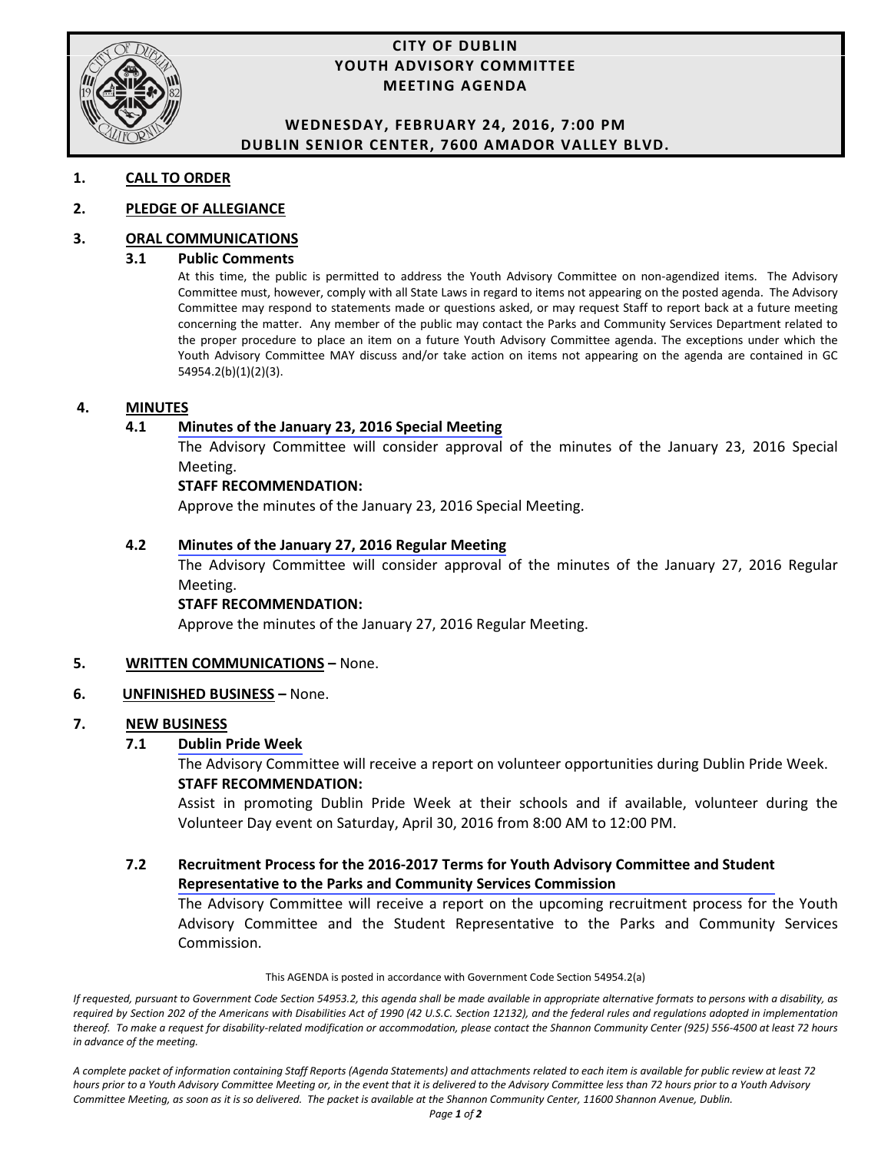

#### **CITY OF DUBLIN YOUTH ADVISORY COMMITTEE MEETING AGENDA**

#### **WEDNESDAY, FEBRUARY 24, 2016, 7:00 PM DUBLIN SENIOR CENTER, 7600 AMADOR VALLEY BLVD.**

#### **1. CALL TO ORDER**

#### **2. PLEDGE OF ALLEGIANCE**

#### **3. ORAL COMMUNICATIONS**

#### **3.1 Public Comments**

At this time, the public is permitted to address the Youth Advisory Committee on non-agendized items. The Advisory Committee must, however, comply with all State Laws in regard to items not appearing on the posted agenda. The Advisory Committee may respond to statements made or questions asked, or may request Staff to report back at a future meeting concerning the matter. Any member of the public may contact the Parks and Community Services Department related to the proper procedure to place an item on a future Youth Advisory Committee agenda. The exceptions under which the Youth Advisory Committee MAY discuss and/or take action on items not appearing on the agenda are contained in GC 54954.2(b)(1)(2)(3).

#### **4. MINUTES**

#### **4.1 [Minutes of the January 23, 2016 Special Meeting](#page-2-0)**

The Advisory Committee will consider approval of the minutes of the January 23, 2016 Special Meeting.

#### **STAFF RECOMMENDATION:**

Approve the minutes of the January 23, 2016 Special Meeting.

#### **4.2 [Minutes of the January 27, 2016 Regular Meeting](#page-5-0)**

The Advisory Committee will consider approval of the minutes of the January 27, 2016 Regular Meeting.

#### **STAFF RECOMMENDATION:**

Approve the minutes of the January 27, 2016 Regular Meeting.

#### **5. WRITTEN COMMUNICATIONS –** None.

#### **6. UNFINISHED BUSINESS –** None.

#### **7. NEW BUSINESS**

#### **7.1 [Dublin Pride Week](#page-8-0)**

The Advisory Committee will receive a report on volunteer opportunities during Dublin Pride Week. **STAFF RECOMMENDATION:**

 Assist in promoting Dublin Pride Week at their schools and if available, volunteer during the Volunteer Day event on Saturday, April 30, 2016 from 8:00 AM to 12:00 PM.

#### **7.2 [Recruitment Process for the 2016-2017 Terms for Youth Advisory Committee and Student](#page-10-0)  Representative to the Parks and Community Services Commission**

The Advisory Committee will receive a report on the upcoming recruitment process for the Youth Advisory Committee and the Student Representative to the Parks and Community Services Commission.

#### This AGENDA is posted in accordance with Government Code Section 54954.2(a)

*If requested, pursuant to Government Code Section 54953.2, this agenda shall be made available in appropriate alternative formats to persons with a disability, as required by Section 202 of the Americans with Disabilities Act of 1990 (42 U.S.C. Section 12132), and the federal rules and regulations adopted in implementation thereof. To make a request for disability-related modification or accommodation, please contact the Shannon Community Center (925) 556-4500 at least 72 hours in advance of the meeting.*

*A complete packet of information containing Staff Reports (Agenda Statements) and attachments related to each item is available for public review at least 72 hours prior to a Youth Advisory Committee Meeting or, in the event that it is delivered to the Advisory Committee less than 72 hours prior to a Youth Advisory*  Committee Meeting, as soon as it is so delivered. The packet is available at the Shannon Community Center, 11600 Shannon Avenue, Dublin.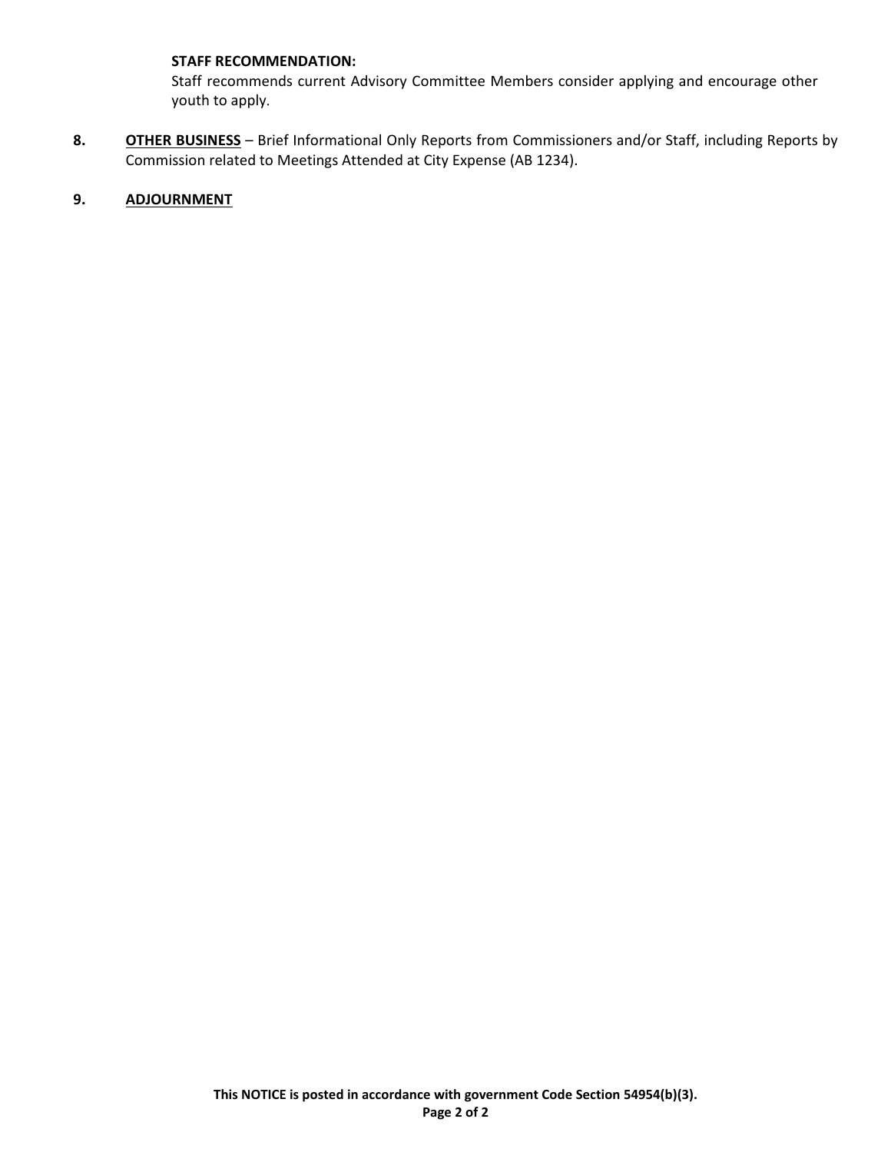#### **STAFF RECOMMENDATION:**

Staff recommends current Advisory Committee Members consider applying and encourage other youth to apply.

**8. OTHER BUSINESS** – Brief Informational Only Reports from Commissioners and/or Staff, including Reports by Commission related to Meetings Attended at City Expense (AB 1234).

#### **9. ADJOURNMENT**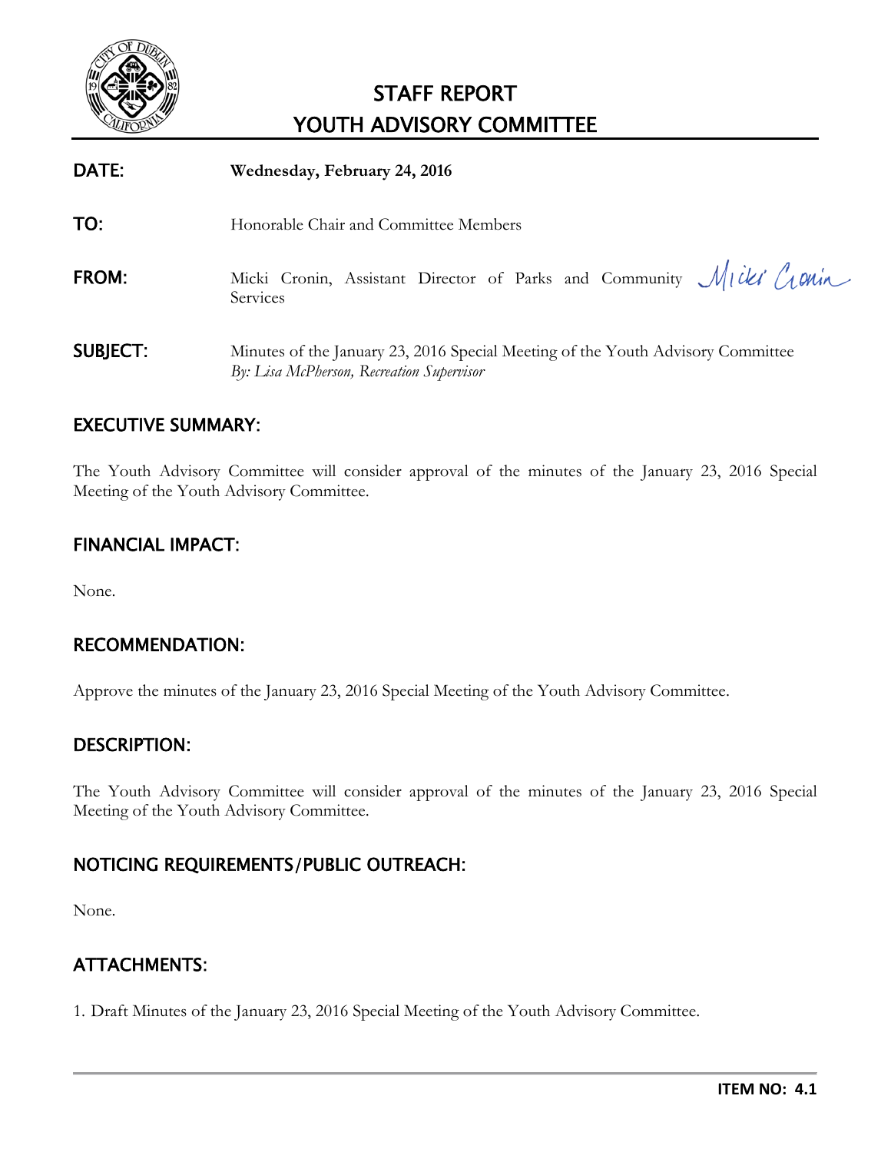<span id="page-2-0"></span>

| DATE:           | Wednesday, February 24, 2016                                                                                                 |
|-----------------|------------------------------------------------------------------------------------------------------------------------------|
| TO:             | Honorable Chair and Committee Members                                                                                        |
| <b>FROM:</b>    | Micki Cronin, Assistant Director of Parks and Community Micki Cronin<br>Services                                             |
| <b>SUBJECT:</b> | Minutes of the January 23, 2016 Special Meeting of the Youth Advisory Committee<br>By: Lisa McPherson, Recreation Supervisor |

# EXECUTIVE SUMMARY:

The Youth Advisory Committee will consider approval of the minutes of the January 23, 2016 Special Meeting of the Youth Advisory Committee.

# FINANCIAL IMPACT:

None.

# RECOMMENDATION:

Approve the minutes of the January 23, 2016 Special Meeting of the Youth Advisory Committee.

#### DESCRIPTION:

The Youth Advisory Committee will consider approval of the minutes of the January 23, 2016 Special Meeting of the Youth Advisory Committee.

# NOTICING REQUIREMENTS/PUBLIC OUTREACH:

None.

# ATTACHMENTS:

1. Draft Minutes of the January 23, 2016 Special Meeting of the Youth Advisory Committee.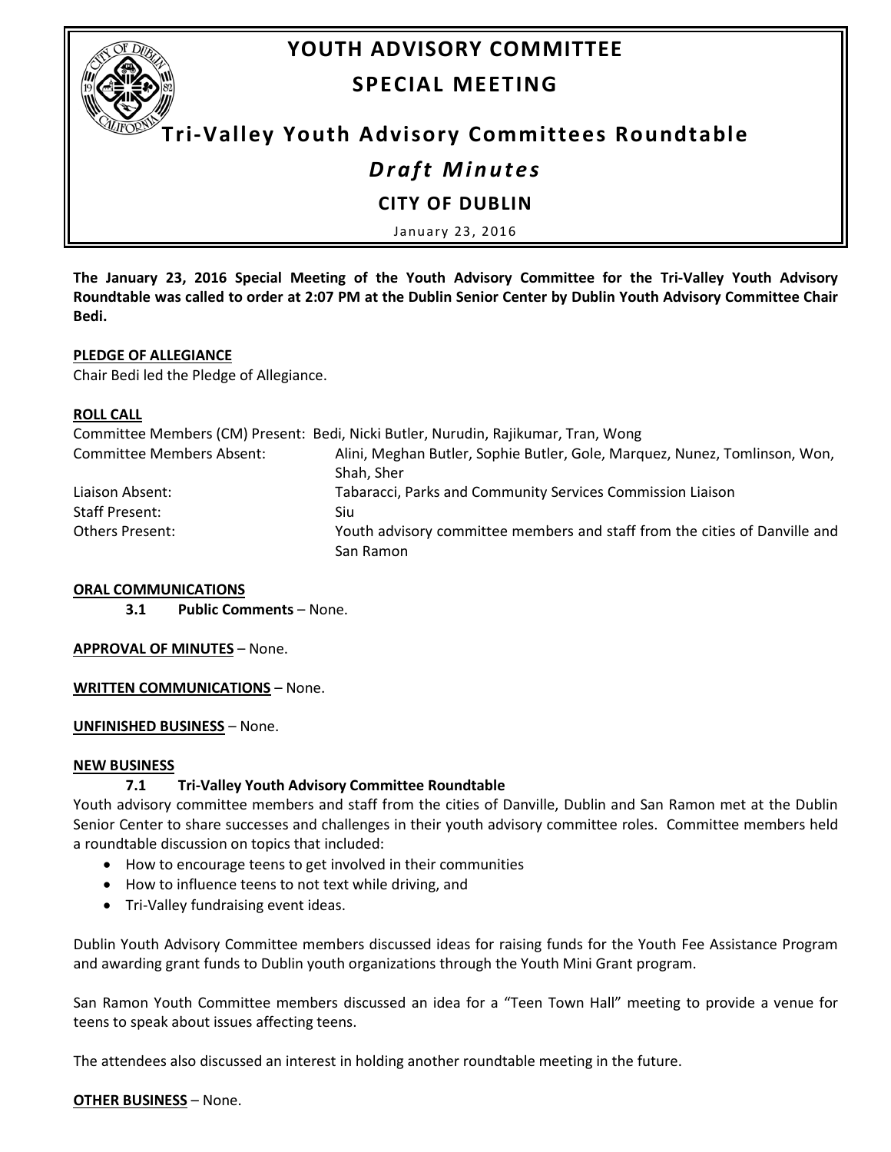

# **YOUTH ADVISORY COMMITTEE SPECIAL MEETING**

# **Tri-Valley Youth Advisory Committees Roundtable**

# *Draft Minutes*

#### **CITY OF DUBLIN**

January 23, 2016

**The January 23, 2016 Special Meeting of the Youth Advisory Committee for the Tri-Valley Youth Advisory Roundtable was called to order at 2:07 PM at the Dublin Senior Center by Dublin Youth Advisory Committee Chair Bedi.** 

#### **PLEDGE OF ALLEGIANCE**

Chair Bedi led the Pledge of Allegiance.

#### **ROLL CALL**

|                                  | Committee Members (CM) Present: Bedi, Nicki Butler, Nurudin, Rajikumar, Tran, Wong |
|----------------------------------|------------------------------------------------------------------------------------|
| <b>Committee Members Absent:</b> | Alini, Meghan Butler, Sophie Butler, Gole, Marquez, Nunez, Tomlinson, Won,         |
|                                  | Shah, Sher                                                                         |
| Liaison Absent:                  | Tabaracci, Parks and Community Services Commission Liaison                         |
| Staff Present:                   | Siu                                                                                |
| <b>Others Present:</b>           | Youth advisory committee members and staff from the cities of Danville and         |
|                                  | San Ramon                                                                          |

#### **ORAL COMMUNICATIONS**

**3.1 Public Comments** – None.

#### **APPROVAL OF MINUTES** – None.

**WRITTEN COMMUNICATIONS** – None.

**UNFINISHED BUSINESS** – None.

#### **NEW BUSINESS**

#### **7.1 Tri-Valley Youth Advisory Committee Roundtable**

Youth advisory committee members and staff from the cities of Danville, Dublin and San Ramon met at the Dublin Senior Center to share successes and challenges in their youth advisory committee roles. Committee members held a roundtable discussion on topics that included:

- How to encourage teens to get involved in their communities
- How to influence teens to not text while driving, and
- Tri-Valley fundraising event ideas.

Dublin Youth Advisory Committee members discussed ideas for raising funds for the Youth Fee Assistance Program and awarding grant funds to Dublin youth organizations through the Youth Mini Grant program.

San Ramon Youth Committee members discussed an idea for a "Teen Town Hall" meeting to provide a venue for teens to speak about issues affecting teens.

The attendees also discussed an interest in holding another roundtable meeting in the future.

#### **OTHER BUSINESS** – None.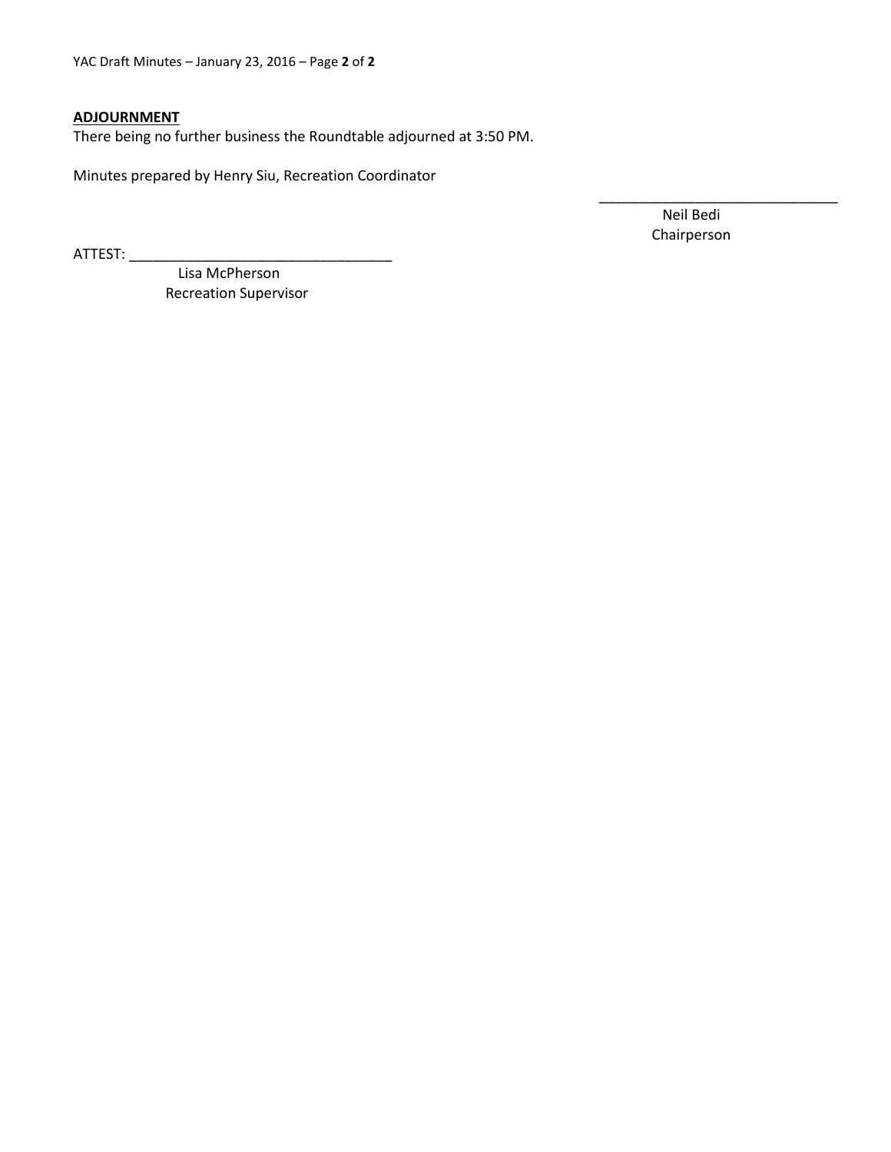YAC Draft Minutes – January 23, 2016 – Page **2** of **2** 

#### **ADJOURNMENT**

There being no further business the Roundtable adjourned at 3:50 PM.

Minutes prepared by Henry Siu, Recreation Coordinator

ATTEST: \_\_\_\_\_\_\_\_\_\_\_\_\_\_\_\_\_\_\_\_\_\_\_\_\_\_\_\_\_\_\_\_\_

Neil Bedi Chairperson

\_\_\_\_\_\_\_\_\_\_\_\_\_\_\_\_\_\_\_\_\_\_\_\_\_\_\_\_\_\_

Lisa McPherson Recreation Supervisor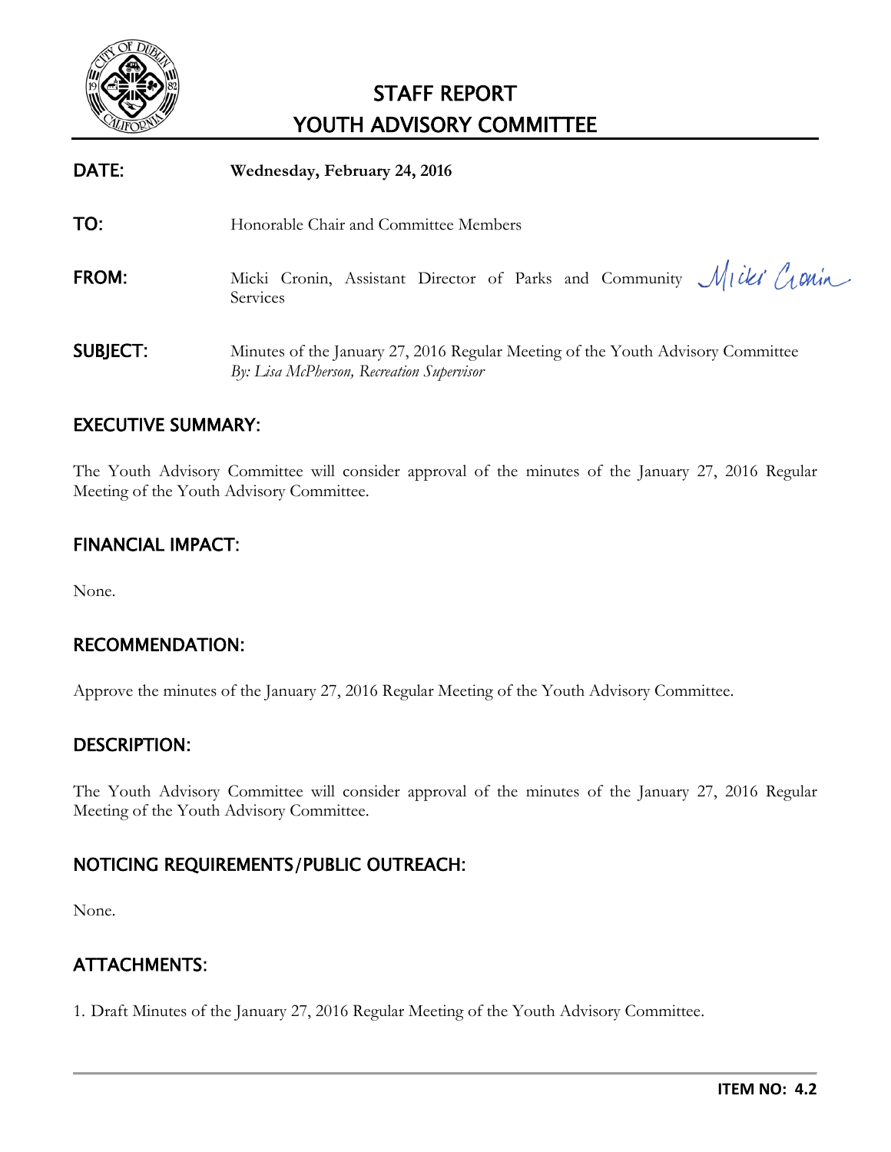<span id="page-5-0"></span>

| DATE:           | Wednesday, February 24, 2016                                                                                                 |
|-----------------|------------------------------------------------------------------------------------------------------------------------------|
| TO:             | Honorable Chair and Committee Members                                                                                        |
| FROM:           | Micki Cronin, Assistant Director of Parks and Community Micki Cronin<br>Services                                             |
| <b>SUBJECT:</b> | Minutes of the January 27, 2016 Regular Meeting of the Youth Advisory Committee<br>By: Lisa McPherson, Recreation Supervisor |

# EXECUTIVE SUMMARY:

The Youth Advisory Committee will consider approval of the minutes of the January 27, 2016 Regular Meeting of the Youth Advisory Committee.

# FINANCIAL IMPACT:

None.

# RECOMMENDATION:

Approve the minutes of the January 27, 2016 Regular Meeting of the Youth Advisory Committee.

#### DESCRIPTION:

The Youth Advisory Committee will consider approval of the minutes of the January 27, 2016 Regular Meeting of the Youth Advisory Committee.

# NOTICING REQUIREMENTS/PUBLIC OUTREACH:

None.

# ATTACHMENTS:

1. Draft Minutes of the January 27, 2016 Regular Meeting of the Youth Advisory Committee.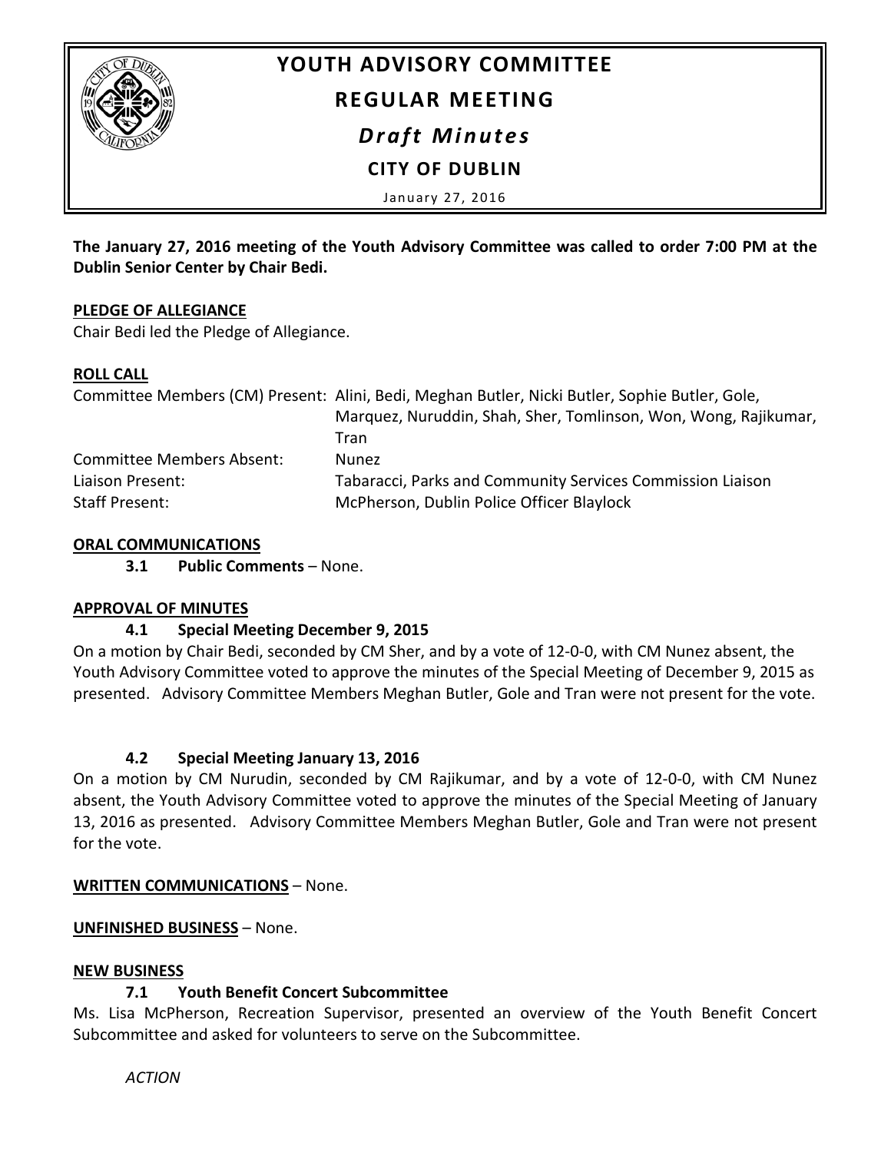

# **YOUTH ADVISORY COMMITTEE**

# **REGULAR MEETING**

*Draft Minutes*

 **CITY OF DUBLIN**

January 27, 2016

**The January 27, 2016 meeting of the Youth Advisory Committee was called to order 7:00 PM at the Dublin Senior Center by Chair Bedi.** 

#### **PLEDGE OF ALLEGIANCE**

Chair Bedi led the Pledge of Allegiance.

#### **ROLL CALL**

|                                  | Committee Members (CM) Present: Alini, Bedi, Meghan Butler, Nicki Butler, Sophie Butler, Gole, |
|----------------------------------|------------------------------------------------------------------------------------------------|
|                                  | Marquez, Nuruddin, Shah, Sher, Tomlinson, Won, Wong, Rajikumar,                                |
|                                  | Tran                                                                                           |
| <b>Committee Members Absent:</b> | <b>Nunez</b>                                                                                   |
| Liaison Present:                 | Tabaracci, Parks and Community Services Commission Liaison                                     |
| Staff Present:                   | McPherson, Dublin Police Officer Blaylock                                                      |

#### **ORAL COMMUNICATIONS**

**3.1 Public Comments** – None.

# **APPROVAL OF MINUTES**

# **4.1 Special Meeting December 9, 2015**

On a motion by Chair Bedi, seconded by CM Sher, and by a vote of 12-0-0, with CM Nunez absent, the Youth Advisory Committee voted to approve the minutes of the Special Meeting of December 9, 2015 as presented. Advisory Committee Members Meghan Butler, Gole and Tran were not present for the vote.

# **4.2 Special Meeting January 13, 2016**

On a motion by CM Nurudin, seconded by CM Rajikumar, and by a vote of 12-0-0, with CM Nunez absent, the Youth Advisory Committee voted to approve the minutes of the Special Meeting of January 13, 2016 as presented. Advisory Committee Members Meghan Butler, Gole and Tran were not present for the vote.

# **WRITTEN COMMUNICATIONS** – None.

# **UNFINISHED BUSINESS** – None.

# **NEW BUSINESS**

# **7.1 Youth Benefit Concert Subcommittee**

Ms. Lisa McPherson, Recreation Supervisor, presented an overview of the Youth Benefit Concert Subcommittee and asked for volunteers to serve on the Subcommittee.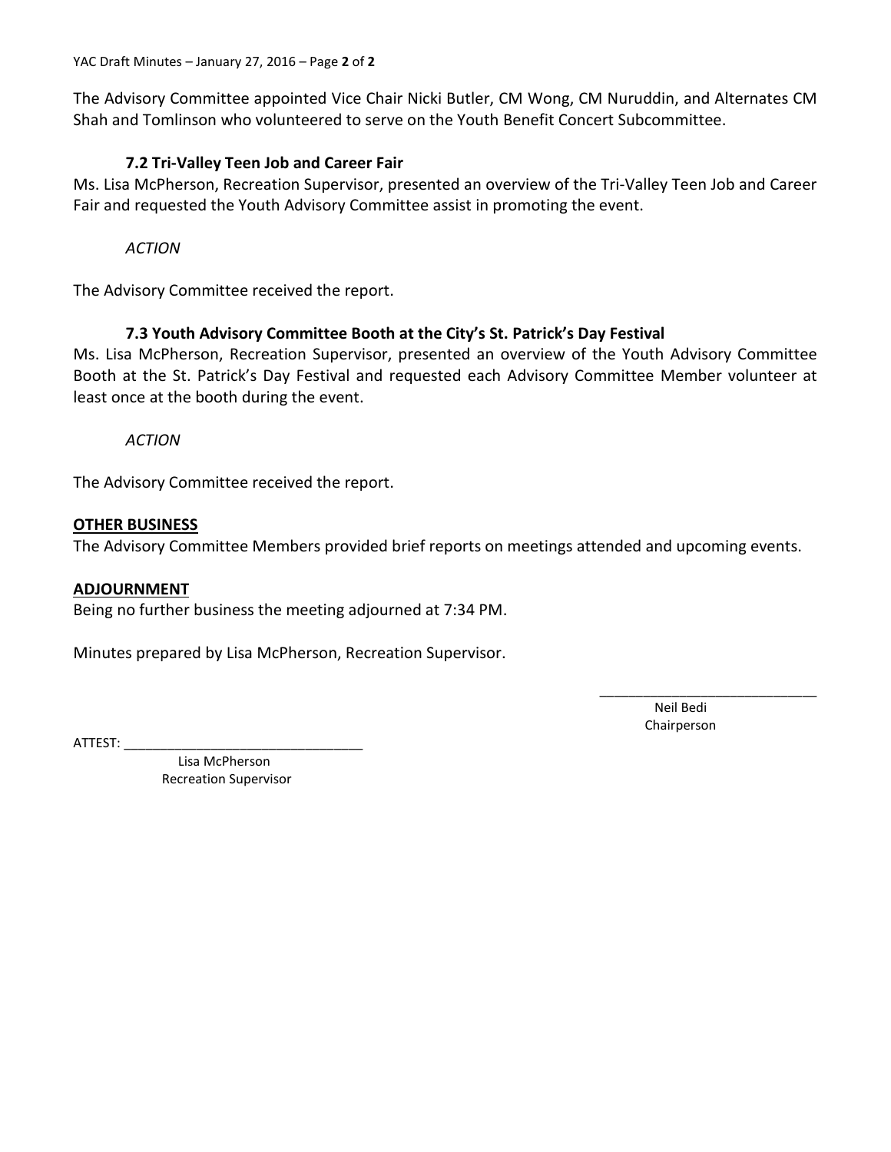The Advisory Committee appointed Vice Chair Nicki Butler, CM Wong, CM Nuruddin, and Alternates CM Shah and Tomlinson who volunteered to serve on the Youth Benefit Concert Subcommittee.

#### **7.2 Tri-Valley Teen Job and Career Fair**

Ms. Lisa McPherson, Recreation Supervisor, presented an overview of the Tri-Valley Teen Job and Career Fair and requested the Youth Advisory Committee assist in promoting the event.

*ACTION*

The Advisory Committee received the report.

#### **7.3 Youth Advisory Committee Booth at the City's St. Patrick's Day Festival**

Ms. Lisa McPherson, Recreation Supervisor, presented an overview of the Youth Advisory Committee Booth at the St. Patrick's Day Festival and requested each Advisory Committee Member volunteer at least once at the booth during the event.

*ACTION*

The Advisory Committee received the report.

#### **OTHER BUSINESS**

The Advisory Committee Members provided brief reports on meetings attended and upcoming events.

#### **ADJOURNMENT**

Being no further business the meeting adjourned at 7:34 PM.

Minutes prepared by Lisa McPherson, Recreation Supervisor.

 $ATTEST:$ 

Neil Bedi Chairperson

\_\_\_\_\_\_\_\_\_\_\_\_\_\_\_\_\_\_\_\_\_\_\_\_\_\_\_\_\_\_

Lisa McPherson Recreation Supervisor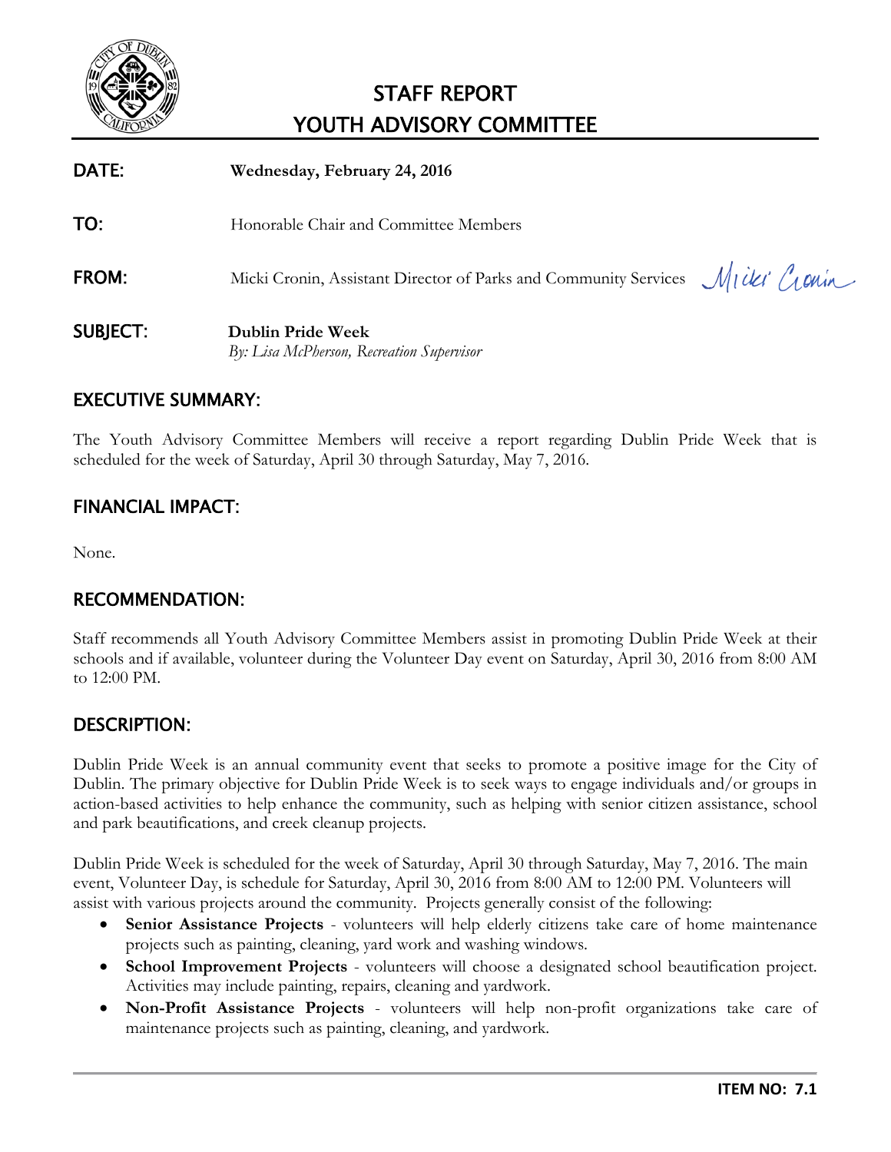<span id="page-8-0"></span>

| <b>DATE:</b>    | Wednesday, February 24, 2016                                                  |
|-----------------|-------------------------------------------------------------------------------|
| TO:             | Honorable Chair and Committee Members                                         |
| <b>FROM:</b>    | Micki Cronin, Assistant Director of Parks and Community Services Micki Cronin |
| <b>SUBJECT:</b> | <b>Dublin Pride Week</b><br>By: Lisa McPherson, Recreation Supervisor         |

# EXECUTIVE SUMMARY:

The Youth Advisory Committee Members will receive a report regarding Dublin Pride Week that is scheduled for the week of Saturday, April 30 through Saturday, May 7, 2016.

# FINANCIAL IMPACT:

None.

# RECOMMENDATION:

Staff recommends all Youth Advisory Committee Members assist in promoting Dublin Pride Week at their schools and if available, volunteer during the Volunteer Day event on Saturday, April 30, 2016 from 8:00 AM to 12:00 PM.

# DESCRIPTION:

Dublin Pride Week is an annual community event that seeks to promote a positive image for the City of Dublin. The primary objective for Dublin Pride Week is to seek ways to engage individuals and/or groups in action-based activities to help enhance the community, such as helping with senior citizen assistance, school and park beautifications, and creek cleanup projects.

Dublin Pride Week is scheduled for the week of Saturday, April 30 through Saturday, May 7, 2016. The main event, Volunteer Day, is schedule for Saturday, April 30, 2016 from 8:00 AM to 12:00 PM. Volunteers will assist with various projects around the community. Projects generally consist of the following:

- **Senior Assistance Projects** volunteers will help elderly citizens take care of home maintenance projects such as painting, cleaning, yard work and washing windows.
- **School Improvement Projects** volunteers will choose a designated school beautification project. Activities may include painting, repairs, cleaning and yardwork.
- **Non-Profit Assistance Projects**  volunteers will help non-profit organizations take care of maintenance projects such as painting, cleaning, and yardwork.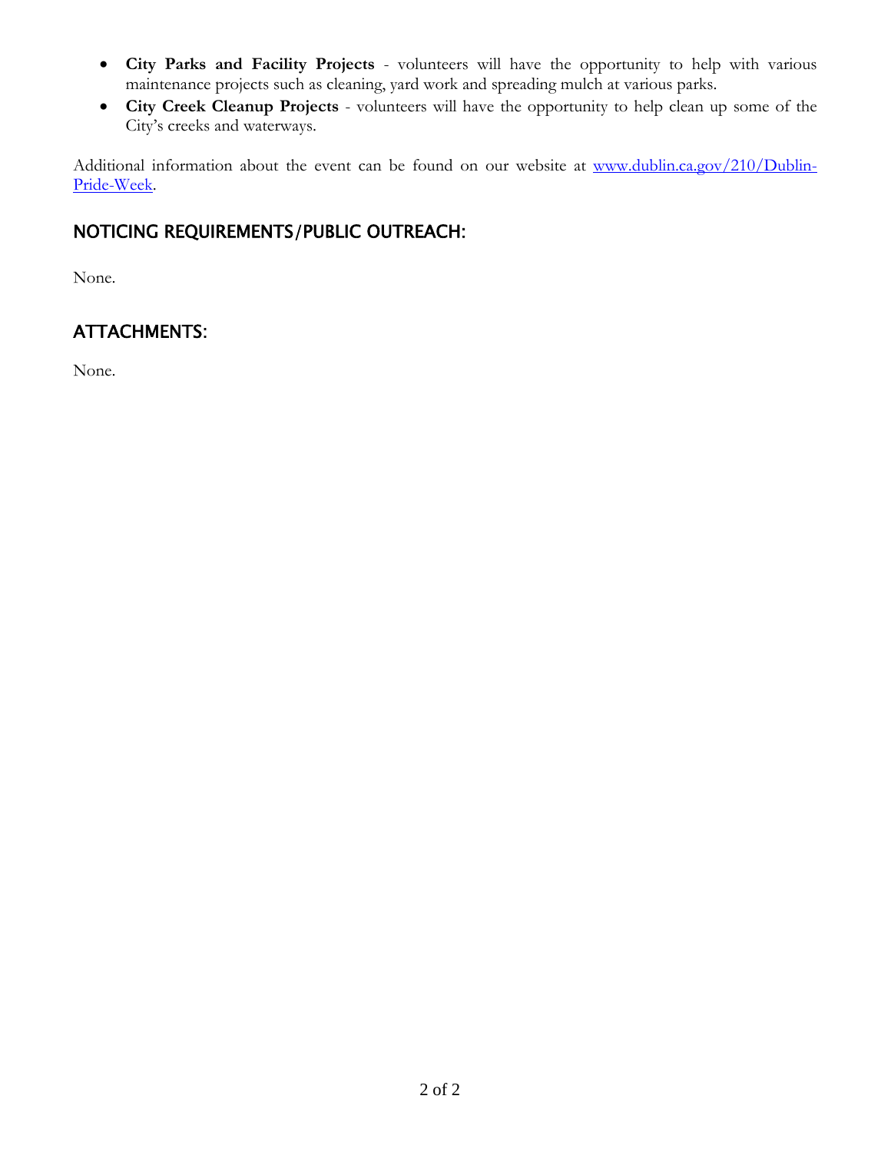- **City Parks and Facility Projects** volunteers will have the opportunity to help with various maintenance projects such as cleaning, yard work and spreading mulch at various parks.
- **City Creek Cleanup Projects** volunteers will have the opportunity to help clean up some of the City's creeks and waterways.

Additional information about the event can be found on our website at [www.dublin.ca.gov/210/Dublin-](http://dublin.ca.gov/210/Dublin-Pride-Week)[Pride-Week.](http://dublin.ca.gov/210/Dublin-Pride-Week)

# NOTICING REQUIREMENTS/PUBLIC OUTREACH:

None.

# ATTACHMENTS:

None.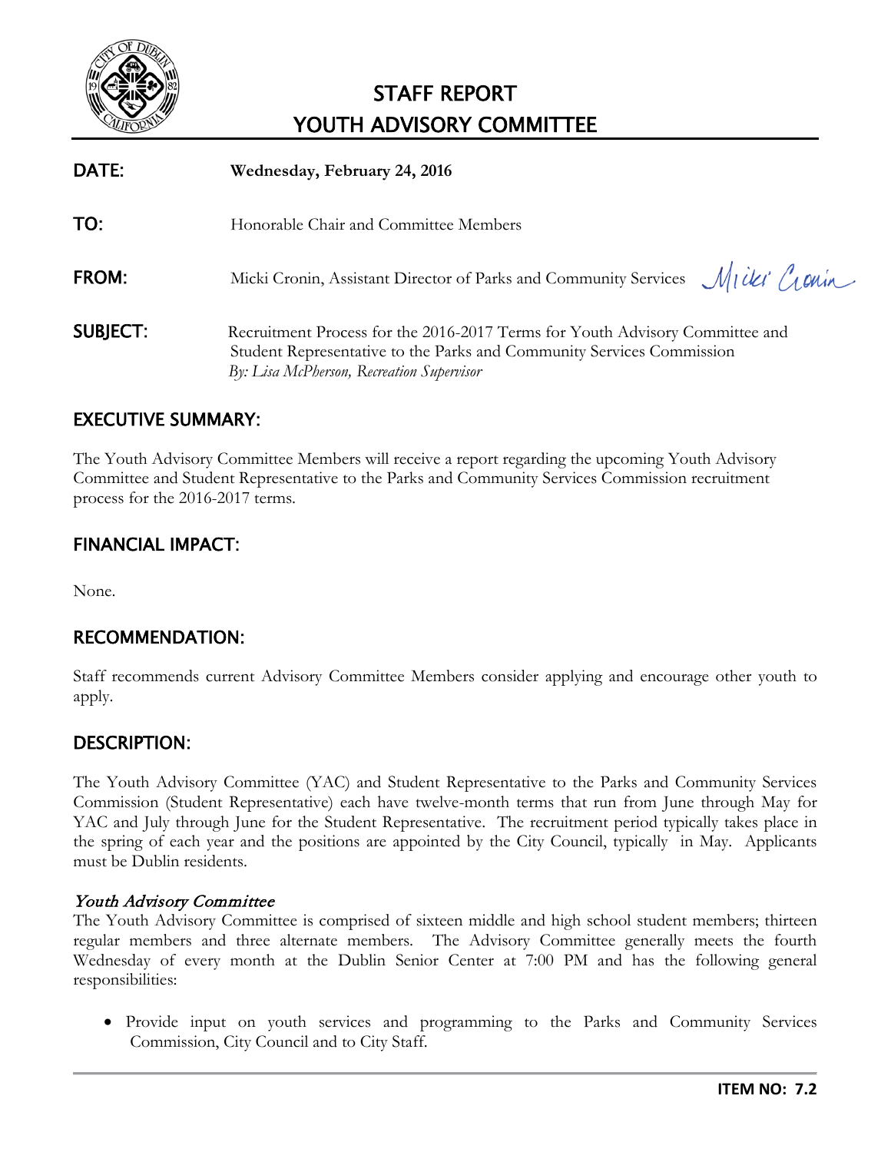<span id="page-10-0"></span>

| DATE:           | Wednesday, February 24, 2016                                                                                                                                                                       |
|-----------------|----------------------------------------------------------------------------------------------------------------------------------------------------------------------------------------------------|
| TO:             | Honorable Chair and Committee Members                                                                                                                                                              |
| FROM:           | Micki Cronin, Assistant Director of Parks and Community Services Micki Cronin                                                                                                                      |
| <b>SUBJECT:</b> | Recruitment Process for the 2016-2017 Terms for Youth Advisory Committee and<br>Student Representative to the Parks and Community Services Commission<br>By: Lisa McPherson, Recreation Supervisor |

# EXECUTIVE SUMMARY:

The Youth Advisory Committee Members will receive a report regarding the upcoming Youth Advisory Committee and Student Representative to the Parks and Community Services Commission recruitment process for the 2016-2017 terms.

# FINANCIAL IMPACT:

None.

# RECOMMENDATION:

Staff recommends current Advisory Committee Members consider applying and encourage other youth to apply.

# DESCRIPTION:

The Youth Advisory Committee (YAC) and Student Representative to the Parks and Community Services Commission (Student Representative) each have twelve-month terms that run from June through May for YAC and July through June for the Student Representative. The recruitment period typically takes place in the spring of each year and the positions are appointed by the City Council, typically in May. Applicants must be Dublin residents.

#### Youth Advisory Committee

The Youth Advisory Committee is comprised of sixteen middle and high school student members; thirteen regular members and three alternate members. The Advisory Committee generally meets the fourth Wednesday of every month at the Dublin Senior Center at 7:00 PM and has the following general responsibilities:

• Provide input on youth services and programming to the Parks and Community Services Commission, City Council and to City Staff.